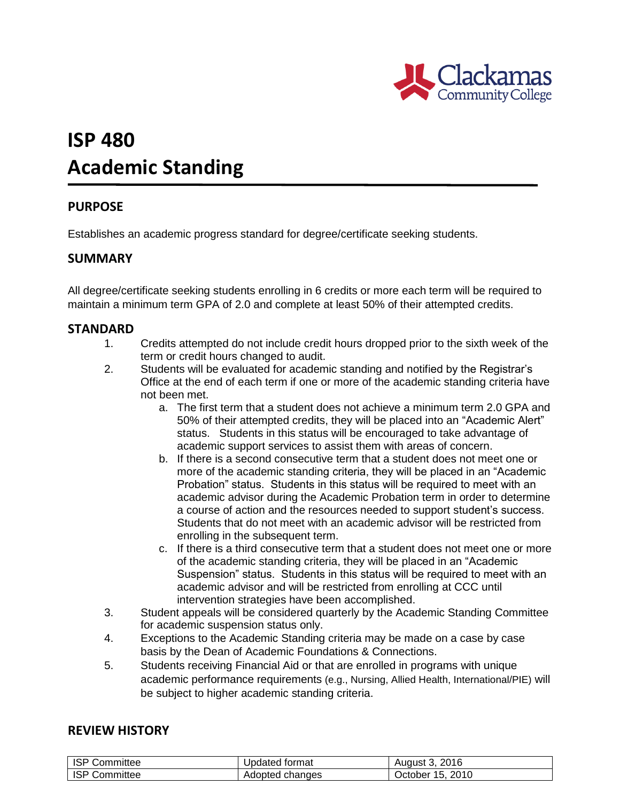

# **ISP 480 Academic Standing**

## **PURPOSE**

Establishes an academic progress standard for degree/certificate seeking students.

#### **SUMMARY**

All degree/certificate seeking students enrolling in 6 credits or more each term will be required to maintain a minimum term GPA of 2.0 and complete at least 50% of their attempted credits.

#### **STANDARD**

- 1. Credits attempted do not include credit hours dropped prior to the sixth week of the term or credit hours changed to audit.
- 2. Students will be evaluated for academic standing and notified by the Registrar's Office at the end of each term if one or more of the academic standing criteria have not been met.
	- a. The first term that a student does not achieve a minimum term 2.0 GPA and 50% of their attempted credits, they will be placed into an "Academic Alert" status. Students in this status will be encouraged to take advantage of academic support services to assist them with areas of concern.
	- b. If there is a second consecutive term that a student does not meet one or more of the academic standing criteria, they will be placed in an "Academic Probation" status. Students in this status will be required to meet with an academic advisor during the Academic Probation term in order to determine a course of action and the resources needed to support student's success. Students that do not meet with an academic advisor will be restricted from enrolling in the subsequent term.
	- c. If there is a third consecutive term that a student does not meet one or more of the academic standing criteria, they will be placed in an "Academic Suspension" status. Students in this status will be required to meet with an academic advisor and will be restricted from enrolling at CCC until intervention strategies have been accomplished.
- 3. Student appeals will be considered quarterly by the Academic Standing Committee for academic suspension status only.
- 4. Exceptions to the Academic Standing criteria may be made on a case by case basis by the Dean of Academic Foundations & Connections.
- 5. Students receiving Financial Aid or that are enrolled in programs with unique academic performance requirements (e.g., Nursing, Allied Health, International/PIE) will be subject to higher academic standing criteria.

### **REVIEW HISTORY**

| ISP Committee | Updated format  | August 3, 2016   |
|---------------|-----------------|------------------|
| ISP Committee | Adopted changes | October 15, 2010 |